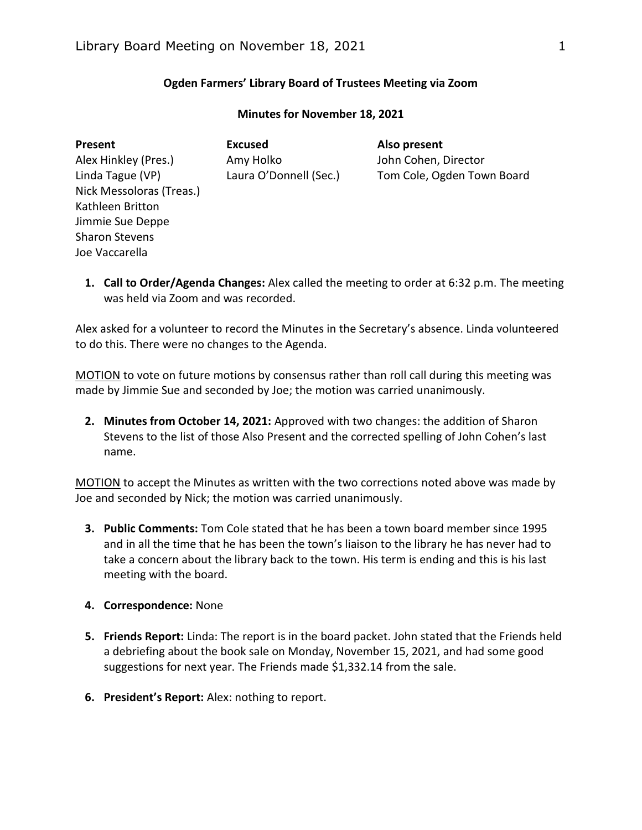# **Ogden Farmers' Library Board of Trustees Meeting via Zoom**

| Present                  | <b>Excused</b>         | Also present               |
|--------------------------|------------------------|----------------------------|
| Alex Hinkley (Pres.)     | Amy Holko              | John Cohen, Director       |
| Linda Tague (VP)         | Laura O'Donnell (Sec.) | Tom Cole, Ogden Town Board |
| Nick Messoloras (Treas.) |                        |                            |
| Kathleen Britton         |                        |                            |
| Jimmie Sue Deppe         |                        |                            |
| <b>Sharon Stevens</b>    |                        |                            |
| Joe Vaccarella           |                        |                            |
|                          |                        |                            |

### **Minutes for November 18, 2021**

**1. Call to Order/Agenda Changes:** Alex called the meeting to order at 6:32 p.m. The meeting was held via Zoom and was recorded.

Alex asked for a volunteer to record the Minutes in the Secretary's absence. Linda volunteered to do this. There were no changes to the Agenda.

MOTION to vote on future motions by consensus rather than roll call during this meeting was made by Jimmie Sue and seconded by Joe; the motion was carried unanimously.

**2. Minutes from October 14, 2021:** Approved with two changes: the addition of Sharon Stevens to the list of those Also Present and the corrected spelling of John Cohen's last name.

MOTION to accept the Minutes as written with the two corrections noted above was made by Joe and seconded by Nick; the motion was carried unanimously.

- **3. Public Comments:** Tom Cole stated that he has been a town board member since 1995 and in all the time that he has been the town's liaison to the library he has never had to take a concern about the library back to the town. His term is ending and this is his last meeting with the board.
- **4. Correspondence:** None
- **5. Friends Report:** Linda: The report is in the board packet. John stated that the Friends held a debriefing about the book sale on Monday, November 15, 2021, and had some good suggestions for next year. The Friends made \$1,332.14 from the sale.
- **6. President's Report:** Alex: nothing to report.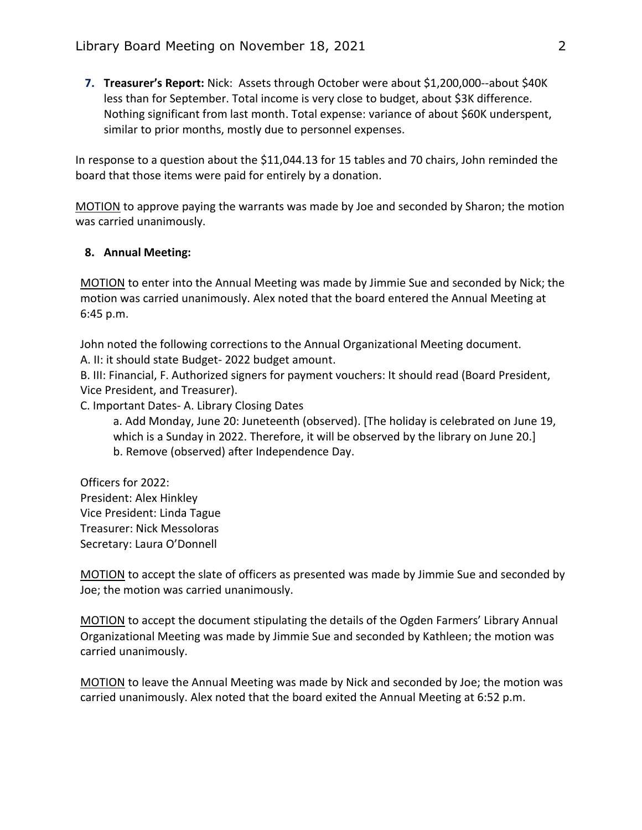**7. Treasurer's Report:** Nick: Assets through October were about \$1,200,000--about \$40K less than for September. Total income is very close to budget, about \$3K difference. Nothing significant from last month. Total expense: variance of about \$60K underspent, similar to prior months, mostly due to personnel expenses.

In response to a question about the \$11,044.13 for 15 tables and 70 chairs, John reminded the board that those items were paid for entirely by a donation.

MOTION to approve paying the warrants was made by Joe and seconded by Sharon; the motion was carried unanimously.

# **8. Annual Meeting:**

MOTION to enter into the Annual Meeting was made by Jimmie Sue and seconded by Nick; the motion was carried unanimously. Alex noted that the board entered the Annual Meeting at 6:45 p.m.

John noted the following corrections to the Annual Organizational Meeting document. A. II: it should state Budget- 2022 budget amount.

B. III: Financial, F. Authorized signers for payment vouchers: It should read (Board President, Vice President, and Treasurer).

C. Important Dates- A. Library Closing Dates

a. Add Monday, June 20: Juneteenth (observed). [The holiday is celebrated on June 19, which is a Sunday in 2022. Therefore, it will be observed by the library on June 20.] b. Remove (observed) after Independence Day.

Officers for 2022: President: Alex Hinkley Vice President: Linda Tague Treasurer: Nick Messoloras Secretary: Laura O'Donnell

MOTION to accept the slate of officers as presented was made by Jimmie Sue and seconded by Joe; the motion was carried unanimously.

MOTION to accept the document stipulating the details of the Ogden Farmers' Library Annual Organizational Meeting was made by Jimmie Sue and seconded by Kathleen; the motion was carried unanimously.

MOTION to leave the Annual Meeting was made by Nick and seconded by Joe; the motion was carried unanimously. Alex noted that the board exited the Annual Meeting at 6:52 p.m.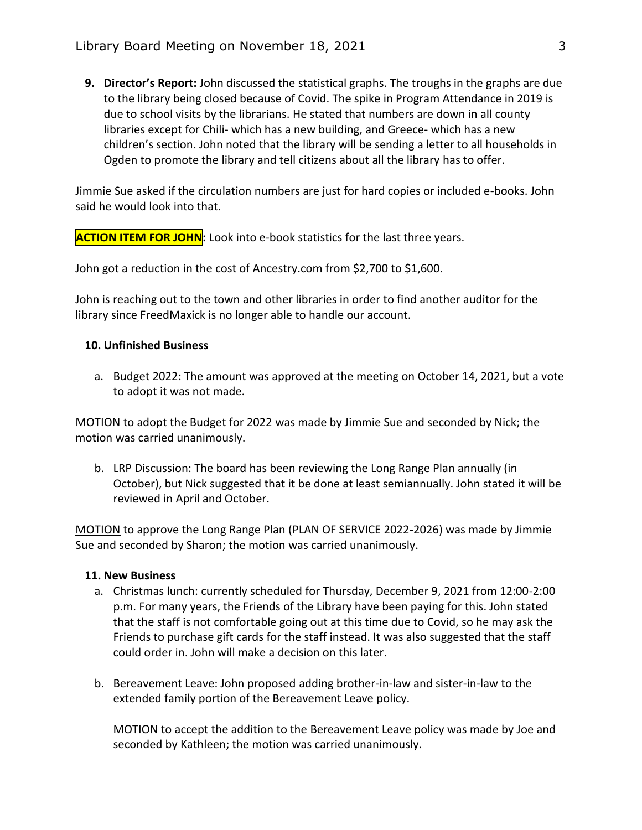**9. Director's Report:** John discussed the statistical graphs. The troughs in the graphs are due to the library being closed because of Covid. The spike in Program Attendance in 2019 is due to school visits by the librarians. He stated that numbers are down in all county libraries except for Chili- which has a new building, and Greece- which has a new children's section. John noted that the library will be sending a letter to all households in Ogden to promote the library and tell citizens about all the library has to offer.

Jimmie Sue asked if the circulation numbers are just for hard copies or included e-books. John said he would look into that.

**ACTION ITEM FOR JOHN:** Look into e-book statistics for the last three years.

John got a reduction in the cost of Ancestry.com from \$2,700 to \$1,600.

John is reaching out to the town and other libraries in order to find another auditor for the library since FreedMaxick is no longer able to handle our account.

# **10. Unfinished Business**

a. Budget 2022: The amount was approved at the meeting on October 14, 2021, but a vote to adopt it was not made.

MOTION to adopt the Budget for 2022 was made by Jimmie Sue and seconded by Nick; the motion was carried unanimously.

b. LRP Discussion: The board has been reviewing the Long Range Plan annually (in October), but Nick suggested that it be done at least semiannually. John stated it will be reviewed in April and October.

MOTION to approve the Long Range Plan (PLAN OF SERVICE 2022-2026) was made by Jimmie Sue and seconded by Sharon; the motion was carried unanimously.

### **11. New Business**

- a. Christmas lunch: currently scheduled for Thursday, December 9, 2021 from 12:00-2:00 p.m. For many years, the Friends of the Library have been paying for this. John stated that the staff is not comfortable going out at this time due to Covid, so he may ask the Friends to purchase gift cards for the staff instead. It was also suggested that the staff could order in. John will make a decision on this later.
- b. Bereavement Leave: John proposed adding brother-in-law and sister-in-law to the extended family portion of the Bereavement Leave policy.

MOTION to accept the addition to the Bereavement Leave policy was made by Joe and seconded by Kathleen; the motion was carried unanimously.